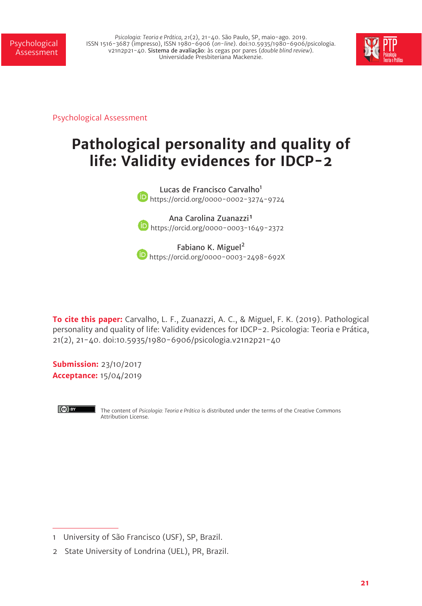*Psicologia: Teoria e Prática, 21*(2), 21-40. São Paulo, SP, maio-ago. 2019. ISSN 1516-3687 (impresso), ISSN 1980-6906 (*on-line*). doi:10.5935/1980-6906/psicologia. v21n2p21-40. Sistema de avaliação: às cegas por pares (*double blind review*). Universidade Presbiteriana Mackenzie.



Psychological Assessment

# **Pathological personality and quality of life: Validity evidences for IDCP-2**

Lucas de Francisco Carvalho<sup>1</sup> https://orcid.org/0000-0002-3274-9724

Ana Carolina Zuanazzi<sup>1</sup> **b** https://orcid.org/0000-0003-1649-2372

Fabiano K. Miguel<sup>2</sup> **b** https://orcid.org/0000-0003-2498-692X

**To cite this paper:** Carvalho, L. F., Zuanazzi, A. C., & Miguel, F. K. (2019). Pathological personality and quality of life: Validity evidences for IDCP-2. Psicologia: Teoria e Prática, 21(2), 21-40. doi:10.5935/1980-6906/psicologia.v21n2p21-40

**Submission:** 23/10/2017 **Acceptance:** 15/04/2019



The content of *Psicologia: Teoria e Prática* is distributed under the terms of the Creative Commons Attribution License.

<sup>1</sup> University of São Francisco (USF), SP, Brazil.

<sup>2</sup> State University of Londrina (UEL), PR, Brazil.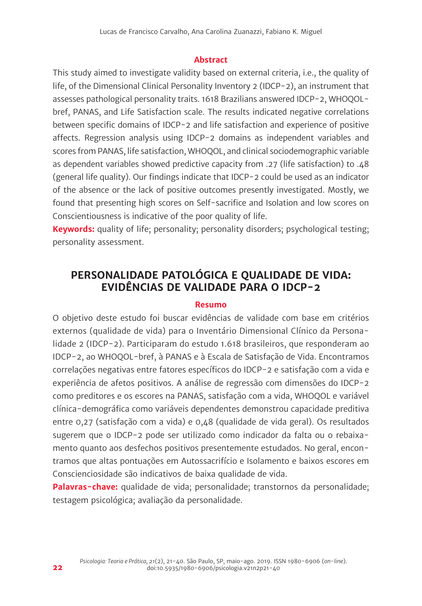#### **Abstract**

This study aimed to investigate validity based on external criteria, i.e., the quality of life, of the Dimensional Clinical Personality Inventory 2 (IDCP-2), an instrument that assesses pathological personality traits. 1618 Brazilians answered IDCP-2, WHOQOLbref, PANAS, and Life Satisfaction scale. The results indicated negative correlations between specific domains of IDCP-2 and life satisfaction and experience of positive affects. Regression analysis using IDCP-2 domains as independent variables and scores from PANAS, life satisfaction, WHOQOL, and clinical sociodemographic variable as dependent variables showed predictive capacity from .27 (life satisfaction) to .48 (general life quality). Our findings indicate that IDCP-2 could be used as an indicator of the absence or the lack of positive outcomes presently investigated. Mostly, we found that presenting high scores on Self-sacrifice and Isolation and low scores on Conscientiousness is indicative of the poor quality of life.

**Keywords:** quality of life; personality; personality disorders; psychological testing; personality assessment.

# **PERSONALIDADE PATOLÓGICA E QUALIDADE DE VIDA: EVIDÊNCIAS DE VALIDADE PARA O IDCP-2**

#### **Resumo**

O objetivo deste estudo foi buscar evidências de validade com base em critérios externos (qualidade de vida) para o Inventário Dimensional Clínico da Personalidade 2 (IDCP-2). Participaram do estudo 1.618 brasileiros, que responderam ao IDCP-2, ao WHOQOL-bref, à PANAS e à Escala de Satisfação de Vida. Encontramos correlações negativas entre fatores específicos do IDCP-2 e satisfação com a vida e experiência de afetos positivos. A análise de regressão com dimensões do IDCP-2 como preditores e os escores na PANAS, satisfação com a vida, WHOQOL e variável clínica-demográfica como variáveis dependentes demonstrou capacidade preditiva entre 0,27 (satisfação com a vida) e 0,48 (qualidade de vida geral). Os resultados sugerem que o IDCP-2 pode ser utilizado como indicador da falta ou o rebaixamento quanto aos desfechos positivos presentemente estudados. No geral, encontramos que altas pontuações em Autossacrifício e Isolamento e baixos escores em Conscienciosidade são indicativos de baixa qualidade de vida.

**Palavras-chave:** qualidade de vida; personalidade; transtornos da personalidade; testagem psicológica; avaliação da personalidade.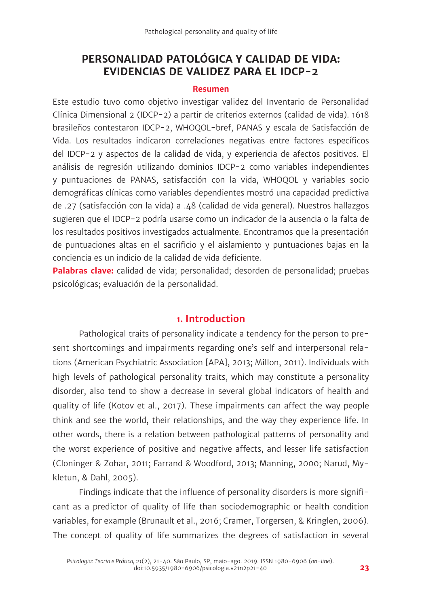# **PERSONALIDAD PATOLÓGICA Y CALIDAD DE VIDA: EVIDENCIAS DE VALIDEZ PARA EL IDCP-2**

#### **Resumen**

Este estudio tuvo como objetivo investigar validez del Inventario de Personalidad Clínica Dimensional 2 (IDCP-2) a partir de criterios externos (calidad de vida). 1618 brasileños contestaron IDCP-2, WHOQOL-bref, PANAS y escala de Satisfacción de Vida. Los resultados indicaron correlaciones negativas entre factores específicos del IDCP-2 y aspectos de la calidad de vida, y experiencia de afectos positivos. El análisis de regresión utilizando dominios IDCP-2 como variables independientes y puntuaciones de PANAS, satisfacción con la vida, WHOQOL y variables socio demográficas clínicas como variables dependientes mostró una capacidad predictiva de .27 (satisfacción con la vida) a .48 (calidad de vida general). Nuestros hallazgos sugieren que el IDCP-2 podría usarse como un indicador de la ausencia o la falta de los resultados positivos investigados actualmente. Encontramos que la presentación de puntuaciones altas en el sacrificio y el aislamiento y puntuaciones bajas en la conciencia es un indicio de la calidad de vida deficiente.

**Palabras clave:** calidad de vida; personalidad; desorden de personalidad; pruebas psicológicas; evaluación de la personalidad.

#### **1. Introduction**

Pathological traits of personality indicate a tendency for the person to present shortcomings and impairments regarding one's self and interpersonal relations (American Psychiatric Association [APA], 2013; Millon, 2011). Individuals with high levels of pathological personality traits, which may constitute a personality disorder, also tend to show a decrease in several global indicators of health and quality of life (Kotov et al., 2017). These impairments can affect the way people think and see the world, their relationships, and the way they experience life. In other words, there is a relation between pathological patterns of personality and the worst experience of positive and negative affects, and lesser life satisfaction (Cloninger & Zohar, 2011; Farrand & Woodford, 2013; Manning, 2000; Narud, Mykletun, & Dahl, 2005).

Findings indicate that the influence of personality disorders is more significant as a predictor of quality of life than sociodemographic or health condition variables, for example (Brunault et al., 2016; Cramer, Torgersen, & Kringlen, 2006). The concept of quality of life summarizes the degrees of satisfaction in several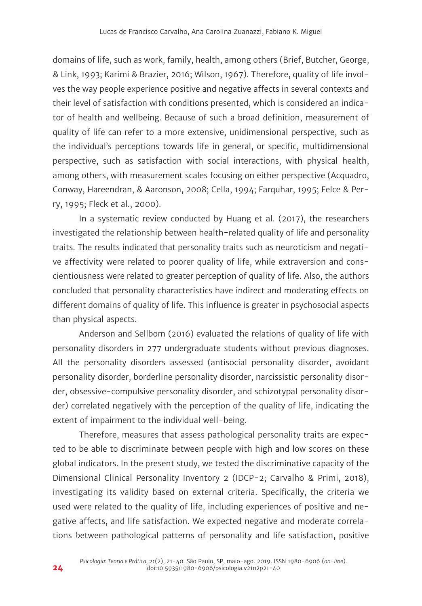domains of life, such as work, family, health, among others (Brief, Butcher, George, & Link, 1993; Karimi & Brazier, 2016; Wilson, 1967). Therefore, quality of life involves the way people experience positive and negative affects in several contexts and their level of satisfaction with conditions presented, which is considered an indicator of health and wellbeing. Because of such a broad definition, measurement of quality of life can refer to a more extensive, unidimensional perspective, such as the individual's perceptions towards life in general, or specific, multidimensional perspective, such as satisfaction with social interactions, with physical health, among others, with measurement scales focusing on either perspective (Acquadro, Conway, Hareendran, & Aaronson, 2008; Cella, 1994; Farquhar, 1995; Felce & Perry, 1995; Fleck et al., 2000).

In a systematic review conducted by Huang et al. (2017), the researchers investigated the relationship between health-related quality of life and personality traits. The results indicated that personality traits such as neuroticism and negative affectivity were related to poorer quality of life, while extraversion and conscientiousness were related to greater perception of quality of life. Also, the authors concluded that personality characteristics have indirect and moderating effects on different domains of quality of life. This influence is greater in psychosocial aspects than physical aspects.

Anderson and Sellbom (2016) evaluated the relations of quality of life with personality disorders in 277 undergraduate students without previous diagnoses. All the personality disorders assessed (antisocial personality disorder, avoidant personality disorder, borderline personality disorder, narcissistic personality disorder, obsessive-compulsive personality disorder, and schizotypal personality disorder) correlated negatively with the perception of the quality of life, indicating the extent of impairment to the individual well-being.

Therefore, measures that assess pathological personality traits are expected to be able to discriminate between people with high and low scores on these global indicators. In the present study, we tested the discriminative capacity of the Dimensional Clinical Personality Inventory 2 (IDCP-2; Carvalho & Primi, 2018), investigating its validity based on external criteria. Specifically, the criteria we used were related to the quality of life, including experiences of positive and negative affects, and life satisfaction. We expected negative and moderate correlations between pathological patterns of personality and life satisfaction, positive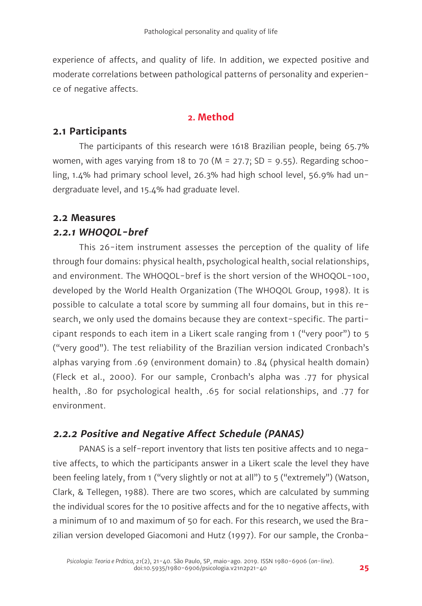experience of affects, and quality of life. In addition, we expected positive and moderate correlations between pathological patterns of personality and experience of negative affects.

#### **2. Method**

## **2.1 Participants**

The participants of this research were 1618 Brazilian people, being 65.7% women, with ages varying from 18 to 70 (M = 27.7; SD = 9.55). Regarding schooling, 1.4% had primary school level, 26.3% had high school level, 56.9% had undergraduate level, and 15.4% had graduate level.

#### **2.2 Measures**

## **2.2.1 WHOQOL-bref**

This 26-item instrument assesses the perception of the quality of life through four domains: physical health, psychological health, social relationships, and environment. The WHOQOL-bref is the short version of the WHOQOL-100, developed by the World Health Organization (The WHOQOL Group, 1998). It is possible to calculate a total score by summing all four domains, but in this research, we only used the domains because they are context-specific. The participant responds to each item in a Likert scale ranging from 1 ("very poor") to 5 ("very good"). The test reliability of the Brazilian version indicated Cronbach's alphas varying from .69 (environment domain) to .84 (physical health domain) (Fleck et al., 2000). For our sample, Cronbach's alpha was .77 for physical health, .80 for psychological health, .65 for social relationships, and .77 for environment.

## **2.2.2 Positive and Negative Affect Schedule (PANAS)**

PANAS is a self-report inventory that lists ten positive affects and 10 negative affects, to which the participants answer in a Likert scale the level they have been feeling lately, from 1 ("very slightly or not at all") to 5 ("extremely") (Watson, Clark, & Tellegen, 1988). There are two scores, which are calculated by summing the individual scores for the 10 positive affects and for the 10 negative affects, with a minimum of 10 and maximum of 50 for each. For this research, we used the Brazilian version developed Giacomoni and Hutz (1997). For our sample, the Cronba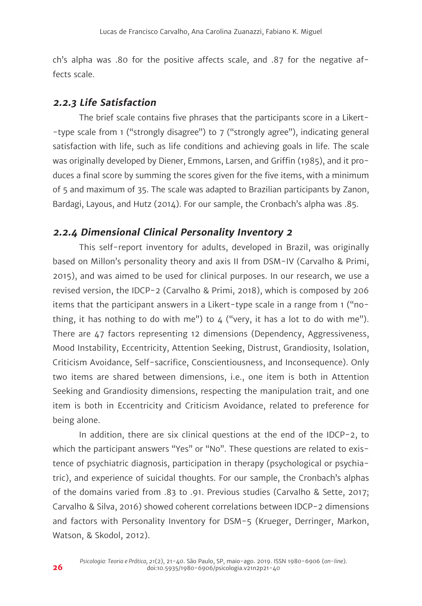ch's alpha was .80 for the positive affects scale, and .87 for the negative affects scale.

#### **2.2.3 Life Satisfaction**

The brief scale contains five phrases that the participants score in a Likert- -type scale from 1 ("strongly disagree") to 7 ("strongly agree"), indicating general satisfaction with life, such as life conditions and achieving goals in life. The scale was originally developed by Diener, Emmons, Larsen, and Griffin (1985), and it produces a final score by summing the scores given for the five items, with a minimum of 5 and maximum of 35. The scale was adapted to Brazilian participants by Zanon, Bardagi, Layous, and Hutz (2014). For our sample, the Cronbach's alpha was .85.

## **2.2.4 Dimensional Clinical Personality Inventory 2**

This self-report inventory for adults, developed in Brazil, was originally based on Millon's personality theory and axis II from DSM-IV (Carvalho & Primi, 2015), and was aimed to be used for clinical purposes. In our research, we use a revised version, the IDCP-2 (Carvalho & Primi, 2018), which is composed by 206 items that the participant answers in a Likert-type scale in a range from 1 ("nothing, it has nothing to do with me") to  $4$  ("very, it has a lot to do with me"). There are 47 factors representing 12 dimensions (Dependency, Aggressiveness, Mood Instability, Eccentricity, Attention Seeking, Distrust, Grandiosity, Isolation, Criticism Avoidance, Self-sacrifice, Conscientiousness, and Inconsequence). Only two items are shared between dimensions, i.e., one item is both in Attention Seeking and Grandiosity dimensions, respecting the manipulation trait, and one item is both in Eccentricity and Criticism Avoidance, related to preference for being alone.

In addition, there are six clinical questions at the end of the IDCP-2, to which the participant answers "Yes" or "No". These questions are related to existence of psychiatric diagnosis, participation in therapy (psychological or psychiatric), and experience of suicidal thoughts. For our sample, the Cronbach's alphas of the domains varied from .83 to .91. Previous studies (Carvalho & Sette, 2017; Carvalho & Silva, 2016) showed coherent correlations between IDCP-2 dimensions and factors with Personality Inventory for DSM-5 (Krueger, Derringer, Markon, Watson, & Skodol, 2012).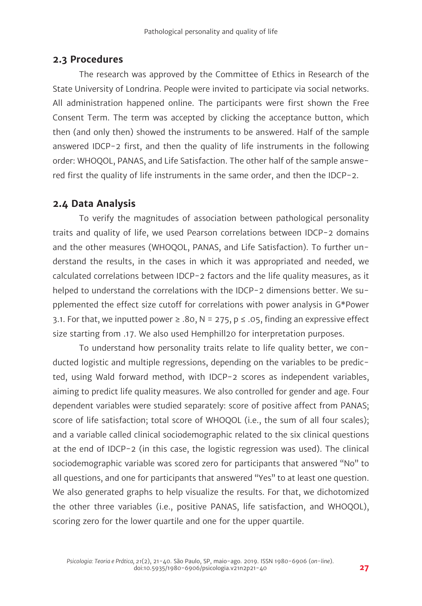#### **2.3 Procedures**

The research was approved by the Committee of Ethics in Research of the State University of Londrina. People were invited to participate via social networks. All administration happened online. The participants were first shown the Free Consent Term. The term was accepted by clicking the acceptance button, which then (and only then) showed the instruments to be answered. Half of the sample answered IDCP-2 first, and then the quality of life instruments in the following order: WHOQOL, PANAS, and Life Satisfaction. The other half of the sample answered first the quality of life instruments in the same order, and then the IDCP-2.

## **2.4 Data Analysis**

To verify the magnitudes of association between pathological personality traits and quality of life, we used Pearson correlations between IDCP-2 domains and the other measures (WHOQOL, PANAS, and Life Satisfaction). To further understand the results, in the cases in which it was appropriated and needed, we calculated correlations between IDCP-2 factors and the life quality measures, as it helped to understand the correlations with the IDCP-2 dimensions better. We supplemented the effect size cutoff for correlations with power analysis in G\*Power 3.1. For that, we inputted power ≥ .80, N = 275, p  $\leq$  .05, finding an expressive effect size starting from .17. We also used Hemphill20 for interpretation purposes.

To understand how personality traits relate to life quality better, we conducted logistic and multiple regressions, depending on the variables to be predicted, using Wald forward method, with IDCP-2 scores as independent variables, aiming to predict life quality measures. We also controlled for gender and age. Four dependent variables were studied separately: score of positive affect from PANAS; score of life satisfaction; total score of WHOQOL (i.e., the sum of all four scales); and a variable called clinical sociodemographic related to the six clinical questions at the end of IDCP-2 (in this case, the logistic regression was used). The clinical sociodemographic variable was scored zero for participants that answered "No" to all questions, and one for participants that answered "Yes" to at least one question. We also generated graphs to help visualize the results. For that, we dichotomized the other three variables (i.e., positive PANAS, life satisfaction, and WHOQOL), scoring zero for the lower quartile and one for the upper quartile.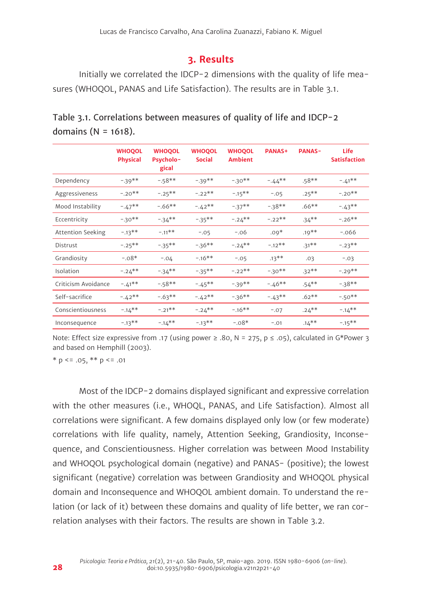#### **3. Results**

Initially we correlated the IDCP-2 dimensions with the quality of life measures (WHOQOL, PANAS and Life Satisfaction). The results are in Table 3.1.

|                          | <b>WHOQOL</b><br><b>Physical</b> | <b>WHOQOL</b><br><b>Psycholo-</b><br>gical | <b>WHOQOL</b><br><b>Social</b> | <b>WHOQOL</b><br><b>Ambient</b> | <b>PANAS+</b> | <b>PANAS-</b> | Life<br><b>Satisfaction</b> |
|--------------------------|----------------------------------|--------------------------------------------|--------------------------------|---------------------------------|---------------|---------------|-----------------------------|
| Dependency               | $-39**$                          | $-58**$                                    | $-39**$                        | $-30**$                         | $-.44***$     | $.58**$       | $-.41**$                    |
| Aggressiveness           | $-.20**$                         | $-.25***$                                  | $-.22**$                       | $-.15***$                       | $-.05$        | $.25***$      | $-.20**$                    |
| Mood Instability         | $-.47**$                         | $-.66**$                                   | $-.42**$                       | $-37**$                         | $-38**$       | $.66***$      | $-.43**$                    |
| Eccentricity             | $-30**$                          | $-34**$                                    | $-35***$                       | $-.24***$                       | $-.22**$      | $.34***$      | $-.26**$                    |
| <b>Attention Seeking</b> | $-.13**$                         | $-.11**$                                   | $-.05$                         | $-.06$                          | $.09*$        | $.19**$       | $-.066$                     |
| Distrust                 | $-.25***$                        | $-35***$                                   | $-36**$                        | $-.24**$                        | $-.12**$      | $.31***$      | $-.23**$                    |
| Grandiosity              | $-.08*$                          | $-.04$                                     | $-.16**$                       | $-.05$                          | $.13***$      | .03           | $-.03$                      |
| Isolation                | $-.24**$                         | $-34**$                                    | $-35***$                       | $-.22**$                        | $-30**$       | $.32**$       | $-.29**$                    |
| Criticism Avoidance      | $-.41**$                         | $-58**$                                    | $-.45***$                      | $-39**$                         | $-.46**$      | $.54***$      | $-38**$                     |
| Self-sacrifice           | $-.42**$                         | $-.63**$                                   | $-.42**$                       | $-36**$                         | $-.43**$      | $.62**$       | $-.50**$                    |
| Conscientiousness        | $-.14**$                         | $-.21**$                                   | $-.24***$                      | $-16**$                         | $-.07$        | $.24***$      | $-.14**$                    |
| Inconsequence            | $-.13**$                         | $-.14**$                                   | $-.13**$                       | $-.08*$                         | $-.01$        | $.14***$      | $-.15***$                   |

| Table 3.1. Correlations between measures of quality of life and IDCP-2 |  |  |
|------------------------------------------------------------------------|--|--|
| domains ( $N = 1618$ ).                                                |  |  |

Note: Effect size expressive from .17 (using power ≥ .80, N = 275, p ≤ .05), calculated in G\*Power 3 and based on Hemphill (2003).

 $*$  p <= .05,  $*$  $*$  p <= .01

Most of the IDCP-2 domains displayed significant and expressive correlation with the other measures (i.e., WHOQL, PANAS, and Life Satisfaction). Almost all correlations were significant. A few domains displayed only low (or few moderate) correlations with life quality, namely, Attention Seeking, Grandiosity, Inconsequence, and Conscientiousness. Higher correlation was between Mood Instability and WHOQOL psychological domain (negative) and PANAS- (positive); the lowest significant (negative) correlation was between Grandiosity and WHOQOL physical domain and Inconsequence and WHOQOL ambient domain. To understand the relation (or lack of it) between these domains and quality of life better, we ran correlation analyses with their factors. The results are shown in Table 3.2.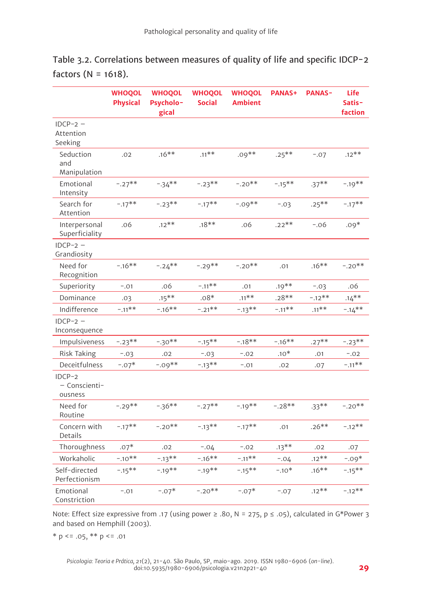|                                    | <b>WHOQOL</b><br><b>Physical</b> | <b>WHOQOL</b><br><b>Psycholo-</b><br>gical | <b>WHOQOL</b><br><b>Social</b> | <b>WHOQOL</b><br><b>Ambient</b> | <b>PANAS+</b> | <b>PANAS-</b> | <b>Life</b><br>Satis-<br>faction |
|------------------------------------|----------------------------------|--------------------------------------------|--------------------------------|---------------------------------|---------------|---------------|----------------------------------|
| $IDCP-2 -$<br>Attention<br>Seeking |                                  |                                            |                                |                                 |               |               |                                  |
| Seduction<br>and<br>Manipulation   | .02                              | $.16**$                                    | $.11***$                       | $.09**$                         | $.25***$      | $-.07$        | $.12**$                          |
| Emotional<br>Intensity             | $-.27**$                         | $-34**$                                    | $-.23**$                       | $-.20**$                        | $-15**$       | $.37***$      | $-.19**$                         |
| Search for<br>Attention            | $-.17**$                         | $-.23**$                                   | $-.17**$                       | $-.09**$                        | $-.03$        | $.25***$      | $-.17**$                         |
| Interpersonal<br>Superficiality    | .06                              | $.12***$                                   | $.18**$                        | .06                             | $.22**$       | $-.06$        | $.09*$                           |
| $IDCP-2$ –<br>Grandiosity          |                                  |                                            |                                |                                 |               |               |                                  |
| Need for<br>Recognition            | $-.16**$                         | $-.24**$                                   | $-.29**$                       | $-.20**$                        | .01           | $.16**$       | $-.20**$                         |
| Superiority                        | $-.01$                           | .06                                        | $-.11**$                       | .01                             | $.19***$      | $-.03$        | .06                              |
| Dominance                          | .03                              | $.15***$                                   | $.08*$                         | $.11***$                        | $.28**$       | $-.12**$      | $.14***$                         |
| Indifference                       | $-.11**$                         | $-.16**$                                   | $-.21**$                       | $-13**$                         | $-.11**$      | $.11**$       | $-14**$                          |
| $IDCP-2$ –<br>Inconsequence        |                                  |                                            |                                |                                 |               |               |                                  |
| Impulsiveness                      | $-.23**$                         | $-30**$                                    | $-.15***$                      | $-.18**$                        | $-.16**$      | $.27***$      | $-.23**$                         |
| <b>Risk Taking</b>                 | $-.03$                           | .02                                        | $-.03$                         | $-.02$                          | $.10*$        | .01           | $-.02$                           |
| Deceitfulness                      | $-.07*$                          | $-0.09**$                                  | $-13**$                        | $-.01$                          | .02           | .07           | $-.11**$                         |
| IDCP-2<br>- Conscienti-<br>ousness |                                  |                                            |                                |                                 |               |               |                                  |
| Need for<br>Routine                | $-.29**$                         | $-36**$                                    | $-.27**$                       | $-19**$                         | $-.28**$      | $.33***$      | $-.20**$                         |
| Concern with<br>Details            | $-.17**$                         | $-.20**$                                   | $-.13**$                       | $-.17***$                       | .01           | $.26**$       | $-12**$                          |
| Thoroughness                       | $.07*$                           | .02                                        | $-.04$                         | $-.02$                          | $.13***$      | .02           | .07                              |
| Workaholic                         | $-.10**$                         | $-13**$                                    | $-.16**$                       | $-.11**$                        | $-.04$        | $.12**$       | $-.09*$                          |
| Self-directed<br>Perfectionism     | $-.15**$                         | $-.19**$                                   | $-.19**$                       | $-15**$                         | $-.10*$       | $.16**$       | $-.15***$                        |
| Emotional<br>Constriction          | $-.01$                           | $-.07*$                                    | $-.20**$                       | $-.07*$                         | $-.07$        | $.12**$       | $-.12**$                         |

| Table 3.2. Correlations between measures of quality of life and specific IDCP-2 |  |  |  |  |
|---------------------------------------------------------------------------------|--|--|--|--|
| factors (N = 1618).                                                             |  |  |  |  |

Note: Effect size expressive from .17 (using power ≥ .80, N = 275, p ≤ .05), calculated in G\*Power 3 and based on Hemphill (2003).

 $* p \le 0.05$ ,  $* p \le 0.01$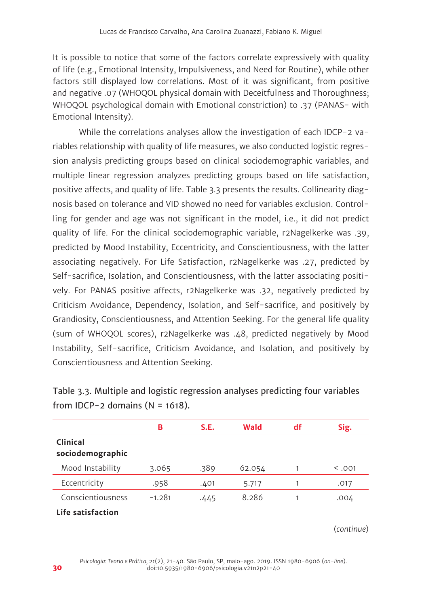It is possible to notice that some of the factors correlate expressively with quality of life (e.g., Emotional Intensity, Impulsiveness, and Need for Routine), while other factors still displayed low correlations. Most of it was significant, from positive and negative .07 (WHOQOL physical domain with Deceitfulness and Thoroughness; WHOQOL psychological domain with Emotional constriction) to .37 (PANAS- with Emotional Intensity).

While the correlations analyses allow the investigation of each IDCP-2 variables relationship with quality of life measures, we also conducted logistic regression analysis predicting groups based on clinical sociodemographic variables, and multiple linear regression analyzes predicting groups based on life satisfaction, positive affects, and quality of life. Table 3.3 presents the results. Collinearity diagnosis based on tolerance and VID showed no need for variables exclusion. Controlling for gender and age was not significant in the model, i.e., it did not predict quality of life. For the clinical sociodemographic variable, r2Nagelkerke was .39, predicted by Mood Instability, Eccentricity, and Conscientiousness, with the latter associating negatively. For Life Satisfaction, r2Nagelkerke was .27, predicted by Self-sacrifice, Isolation, and Conscientiousness, with the latter associating positively. For PANAS positive affects, r2Nagelkerke was .32, negatively predicted by Criticism Avoidance, Dependency, Isolation, and Self-sacrifice, and positively by Grandiosity, Conscientiousness, and Attention Seeking. For the general life quality (sum of WHOQOL scores), r2Nagelkerke was .48, predicted negatively by Mood Instability, Self-sacrifice, Criticism Avoidance, and Isolation, and positively by Conscientiousness and Attention Seeking.

|                              | в        | S.E. | Wald   | df | Sig.    |
|------------------------------|----------|------|--------|----|---------|
| Clinical<br>sociodemographic |          |      |        |    |         |
| Mood Instability             | 3.065    | .389 | 62.054 |    | < 0.001 |
| Eccentricity                 | .958     | .401 | 5.717  |    | .017    |
| Conscientiousness            | $-1.281$ | .445 | 8.286  |    | .004    |
| Life satisfaction            |          |      |        |    |         |

Table 3.3. Multiple and logistic regression analyses predicting four variables from IDCP-2 domains  $(N = 1618)$ .

(*continue*)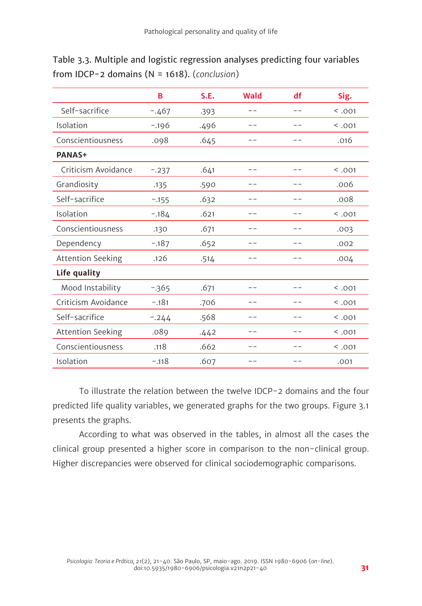| Table 3.3. Multiple and logistic regression analyses predicting four variables |
|--------------------------------------------------------------------------------|
| from IDCP-2 domains ( $N = 1618$ ). (conclusion)                               |

|                          | в       | S.E. | Wald | df  | Sig.    |
|--------------------------|---------|------|------|-----|---------|
| Self-sacrifice           | $-.467$ | .393 |      |     | < 0.001 |
| Isolation                | $-.196$ | .496 |      |     | < .001  |
| Conscientiousness        | .098    | .645 |      |     | .016    |
| <b>PANAS+</b>            |         |      |      |     |         |
| Criticism Avoidance      | $-.237$ | .641 |      |     | < .001  |
| Grandiosity              | .135    | .590 |      |     | .006    |
| Self-sacrifice           | $-.155$ | .632 |      |     | .008    |
| Isolation                | $-.184$ | .621 |      |     | < 0.001 |
| Conscientiousness        | .130    | .671 |      |     | .003    |
| Dependency               | $-.187$ | .652 |      |     | .002    |
| <b>Attention Seeking</b> | .126    | .514 |      | - - | .004    |
| Life quality             |         |      |      |     |         |
| Mood Instability         | $-365$  | .671 |      |     | < .001  |
| Criticism Avoidance      | $-.181$ | .706 |      |     | < 0.001 |
| Self-sacrifice           | $-.244$ | .568 |      |     | < 0.001 |
| Attention Seeking        | .089    | .442 |      |     | < 0.001 |
| Conscientiousness        | .118    | .662 |      |     | < 0.001 |
| Isolation                | $-.118$ | .607 |      |     | .001    |

To illustrate the relation between the twelve IDCP-2 domains and the four predicted life quality variables, we generated graphs for the two groups. Figure 3.1 presents the graphs.

According to what was observed in the tables, in almost all the cases the clinical group presented a higher score in comparison to the non-clinical group. Higher discrepancies were observed for clinical sociodemographic comparisons.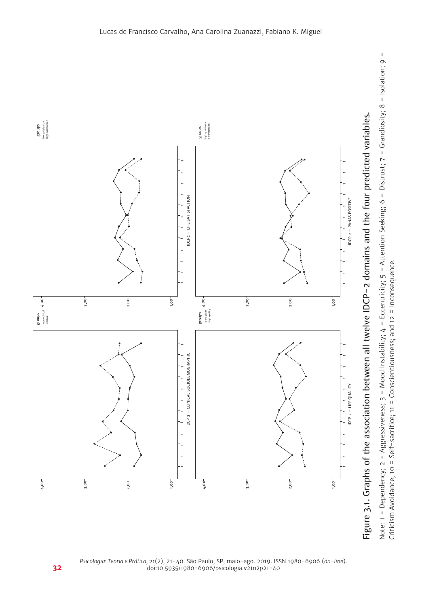

Criticism Avoidance; 10 = Self-sacrifice; 11 = Conscientiousness; and 12 = Inconsequence.

*Psicologia: Teoria e Prática, 21*(2), 21-40. São Paulo, SP, maio-ago. 2019. ISSN 1980-6906 (*on-line*). doi:10.5935/1980-6906/psicologia.v21n2p21-40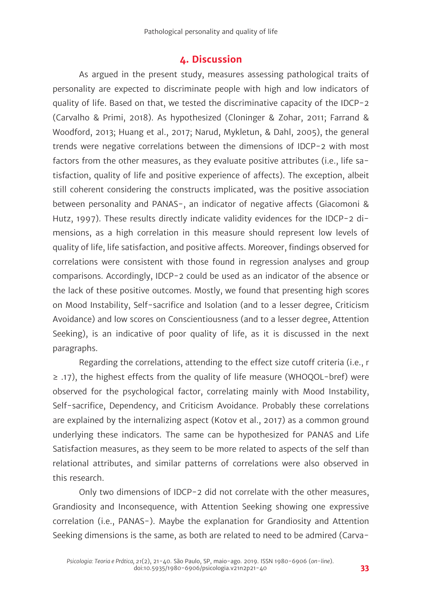## **4. Discussion**

As argued in the present study, measures assessing pathological traits of personality are expected to discriminate people with high and low indicators of quality of life. Based on that, we tested the discriminative capacity of the IDCP-2 (Carvalho & Primi, 2018). As hypothesized (Cloninger & Zohar, 2011; Farrand & Woodford, 2013; Huang et al., 2017; Narud, Mykletun, & Dahl, 2005), the general trends were negative correlations between the dimensions of IDCP-2 with most factors from the other measures, as they evaluate positive attributes (i.e., life satisfaction, quality of life and positive experience of affects). The exception, albeit still coherent considering the constructs implicated, was the positive association between personality and PANAS-, an indicator of negative affects (Giacomoni & Hutz, 1997). These results directly indicate validity evidences for the IDCP-2 dimensions, as a high correlation in this measure should represent low levels of quality of life, life satisfaction, and positive affects. Moreover, findings observed for correlations were consistent with those found in regression analyses and group comparisons. Accordingly, IDCP-2 could be used as an indicator of the absence or the lack of these positive outcomes. Mostly, we found that presenting high scores on Mood Instability, Self-sacrifice and Isolation (and to a lesser degree, Criticism Avoidance) and low scores on Conscientiousness (and to a lesser degree, Attention Seeking), is an indicative of poor quality of life, as it is discussed in the next paragraphs.

Regarding the correlations, attending to the effect size cutoff criteria (i.e., r ≥ .17), the highest effects from the quality of life measure (WHOQOL-bref) were observed for the psychological factor, correlating mainly with Mood Instability, Self-sacrifice, Dependency, and Criticism Avoidance. Probably these correlations are explained by the internalizing aspect (Kotov et al., 2017) as a common ground underlying these indicators. The same can be hypothesized for PANAS and Life Satisfaction measures, as they seem to be more related to aspects of the self than relational attributes, and similar patterns of correlations were also observed in this research.

Only two dimensions of IDCP-2 did not correlate with the other measures, Grandiosity and Inconsequence, with Attention Seeking showing one expressive correlation (i.e., PANAS-). Maybe the explanation for Grandiosity and Attention Seeking dimensions is the same, as both are related to need to be admired (Carva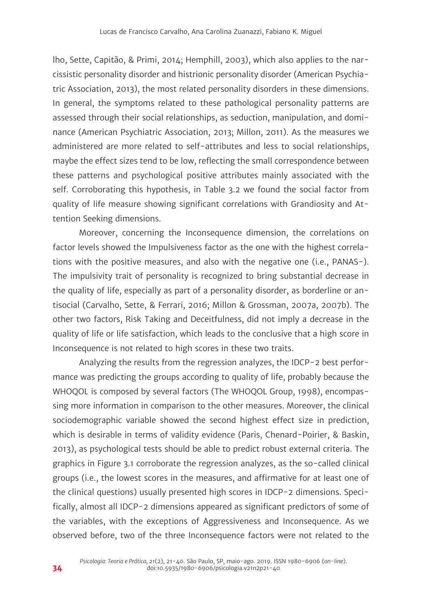lho, Sette, Capitão, & Primi, 2014; Hemphill, 2003), which also applies to the narcissistic personality disorder and histrionic personality disorder (American Psychiatric Association, 2013), the most related personality disorders in these dimensions. In general, the symptoms related to these pathological personality patterns are assessed through their social relationships, as seduction, manipulation, and dominance (American Psychiatric Association, 2013; Millon, 2011). As the measures we administered are more related to self-attributes and less to social relationships, maybe the effect sizes tend to be low, reflecting the small correspondence between these patterns and psychological positive attributes mainly associated with the self. Corroborating this hypothesis, in Table 3.2 we found the social factor from quality of life measure showing significant correlations with Grandiosity and Attention Seeking dimensions.

Moreover, concerning the Inconsequence dimension, the correlations on factor levels showed the Impulsiveness factor as the one with the highest correlations with the positive measures, and also with the negative one (i.e., PANAS-). The impulsivity trait of personality is recognized to bring substantial decrease in the quality of life, especially as part of a personality disorder, as borderline or antisocial (Carvalho, Sette, & Ferrari, 2016; Millon & Grossman, 2007a, 2007b). The other two factors, Risk Taking and Deceitfulness, did not imply a decrease in the quality of life or life satisfaction, which leads to the conclusive that a high score in Inconsequence is not related to high scores in these two traits.

Analyzing the results from the regression analyzes, the IDCP-2 best performance was predicting the groups according to quality of life, probably because the WHOQOL is composed by several factors (The WHOQOL Group, 1998), encompassing more information in comparison to the other measures. Moreover, the clinical sociodemographic variable showed the second highest effect size in prediction, which is desirable in terms of validity evidence (Paris, Chenard-Poirier, & Baskin, 2013), as psychological tests should be able to predict robust external criteria. The graphics in Figure 3.1 corroborate the regression analyzes, as the so-called clinical groups (i.e., the lowest scores in the measures, and affirmative for at least one of the clinical questions) usually presented high scores in IDCP-2 dimensions. Specifically, almost all IDCP-2 dimensions appeared as significant predictors of some of the variables, with the exceptions of Aggressiveness and Inconsequence. As we observed before, two of the three Inconsequence factors were not related to the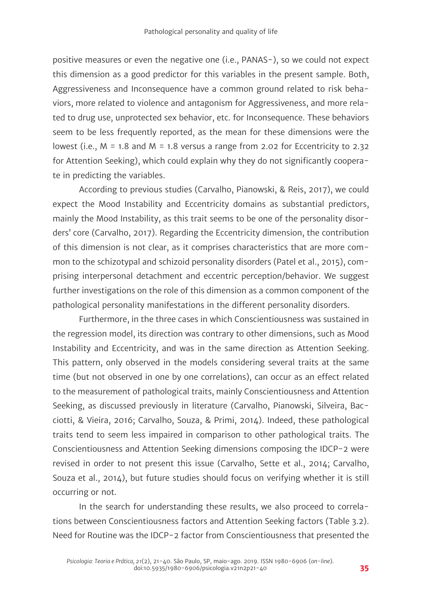positive measures or even the negative one (i.e., PANAS-), so we could not expect this dimension as a good predictor for this variables in the present sample. Both, Aggressiveness and Inconsequence have a common ground related to risk behaviors, more related to violence and antagonism for Aggressiveness, and more related to drug use, unprotected sex behavior, etc. for Inconsequence. These behaviors seem to be less frequently reported, as the mean for these dimensions were the lowest (i.e., M = 1.8 and M = 1.8 versus a range from 2.02 for Eccentricity to 2.32 for Attention Seeking), which could explain why they do not significantly cooperate in predicting the variables.

According to previous studies (Carvalho, Pianowski, & Reis, 2017), we could expect the Mood Instability and Eccentricity domains as substantial predictors, mainly the Mood Instability, as this trait seems to be one of the personality disorders' core (Carvalho, 2017). Regarding the Eccentricity dimension, the contribution of this dimension is not clear, as it comprises characteristics that are more common to the schizotypal and schizoid personality disorders (Patel et al., 2015), comprising interpersonal detachment and eccentric perception/behavior. We suggest further investigations on the role of this dimension as a common component of the pathological personality manifestations in the different personality disorders.

Furthermore, in the three cases in which Conscientiousness was sustained in the regression model, its direction was contrary to other dimensions, such as Mood Instability and Eccentricity, and was in the same direction as Attention Seeking. This pattern, only observed in the models considering several traits at the same time (but not observed in one by one correlations), can occur as an effect related to the measurement of pathological traits, mainly Conscientiousness and Attention Seeking, as discussed previously in literature (Carvalho, Pianowski, Silveira, Bacciotti, & Vieira, 2016; Carvalho, Souza, & Primi, 2014). Indeed, these pathological traits tend to seem less impaired in comparison to other pathological traits. The Conscientiousness and Attention Seeking dimensions composing the IDCP-2 were revised in order to not present this issue (Carvalho, Sette et al., 2014; Carvalho, Souza et al., 2014), but future studies should focus on verifying whether it is still occurring or not.

In the search for understanding these results, we also proceed to correlations between Conscientiousness factors and Attention Seeking factors (Table 3.2). Need for Routine was the IDCP-2 factor from Conscientiousness that presented the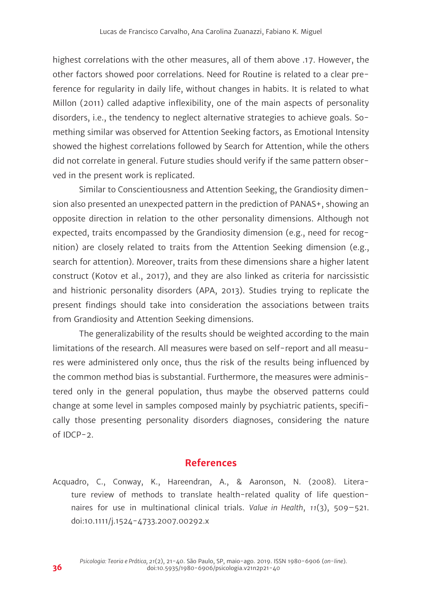highest correlations with the other measures, all of them above .17. However, the other factors showed poor correlations. Need for Routine is related to a clear preference for regularity in daily life, without changes in habits. It is related to what Millon (2011) called adaptive inflexibility, one of the main aspects of personality disorders, i.e., the tendency to neglect alternative strategies to achieve goals. Something similar was observed for Attention Seeking factors, as Emotional Intensity showed the highest correlations followed by Search for Attention, while the others did not correlate in general. Future studies should verify if the same pattern observed in the present work is replicated.

Similar to Conscientiousness and Attention Seeking, the Grandiosity dimension also presented an unexpected pattern in the prediction of PANAS+, showing an opposite direction in relation to the other personality dimensions. Although not expected, traits encompassed by the Grandiosity dimension (e.g., need for recognition) are closely related to traits from the Attention Seeking dimension (e.g., search for attention). Moreover, traits from these dimensions share a higher latent construct (Kotov et al., 2017), and they are also linked as criteria for narcissistic and histrionic personality disorders (APA, 2013). Studies trying to replicate the present findings should take into consideration the associations between traits from Grandiosity and Attention Seeking dimensions.

The generalizability of the results should be weighted according to the main limitations of the research. All measures were based on self-report and all measures were administered only once, thus the risk of the results being influenced by the common method bias is substantial. Furthermore, the measures were administered only in the general population, thus maybe the observed patterns could change at some level in samples composed mainly by psychiatric patients, specifically those presenting personality disorders diagnoses, considering the nature of IDCP-2.

#### **References**

Acquadro, C., Conway, K., Hareendran, A., & Aaronson, N. (2008). Literature review of methods to translate health-related quality of life questionnaires for use in multinational clinical trials. *Value in Health*, *11*(3), 509–521. doi:10.1111/j.1524-4733.2007.00292.x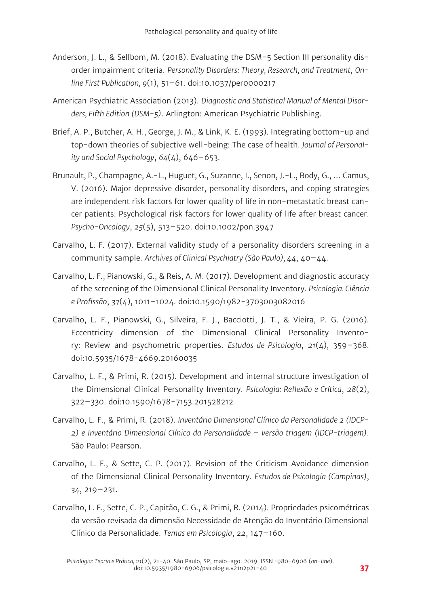- Anderson, J. L., & Sellbom, M. (2018). Evaluating the DSM-5 Section III personality disorder impairment criteria. *Personality Disorders: Theory, Research, and Treatment*, *Online First Publication, 9*(1), 51–61. doi:10.1037/per0000217
- American Psychiatric Association (2013). *Diagnostic and Statistical Manual of Mental Disorders, Fifth Edition (DSM-5)*. Arlington: American Psychiatric Publishing.
- Brief, A. P., Butcher, A. H., George, J. M., & Link, K. E. (1993). Integrating bottom-up and top-down theories of subjective well-being: The case of health. *Journal of Personality and Social Psychology*, *64*(4), 646–653.
- Brunault, P., Champagne, A.-L., Huguet, G., Suzanne, I., Senon, J.-L., Body, G., … Camus, V. (2016). Major depressive disorder, personality disorders, and coping strategies are independent risk factors for lower quality of life in non-metastatic breast cancer patients: Psychological risk factors for lower quality of life after breast cancer. *Psycho-Oncology*, *25*(5), 513–520. doi:10.1002/pon.3947
- Carvalho, L. F. (2017). External validity study of a personality disorders screening in a community sample. *Archives of Clinical Psychiatry (São Paulo), 44*, 40–44.
- Carvalho, L. F., Pianowski, G., & Reis, A. M. (2017). Development and diagnostic accuracy of the screening of the Dimensional Clinical Personality Inventory. *Psicologia: Ciência e Profissão*, *37*(4), 1011–1024. doi:10.1590/1982-3703003082016
- Carvalho, L. F., Pianowski, G., Silveira, F. J., Bacciotti, J. T., & Vieira, P. G. (2016). Eccentricity dimension of the Dimensional Clinical Personality Inventory: Review and psychometric properties. *Estudos de Psicologia*, *21*(4), 359–368. doi:10.5935/1678-4669.20160035
- Carvalho, L. F., & Primi, R. (2015). Development and internal structure investigation of the Dimensional Clinical Personality Inventory. *Psicologia: Reflexão e Crítica*, *28*(2), 322–330. doi:10.1590/1678-7153.201528212
- Carvalho, L. F., & Primi, R. (2018). *Inventário Dimensional Clínico da Personalidade 2 (IDCP-2) e Inventário Dimensional Clínico da Personalidade – versão triagem (IDCP-triagem)*. São Paulo: Pearson.
- Carvalho, L. F., & Sette, C. P. (2017). Revision of the Criticism Avoidance dimension of the Dimensional Clinical Personality Inventory. *Estudos de Psicologia (Campinas)*, *34*, 219–231.
- Carvalho, L. F., Sette, C. P., Capitão, C. G., & Primi, R. (2014). Propriedades psicométricas da versão revisada da dimensão Necessidade de Atenção do Inventário Dimensional Clínico da Personalidade. *Temas em Psicologia*, *22*, 147–160.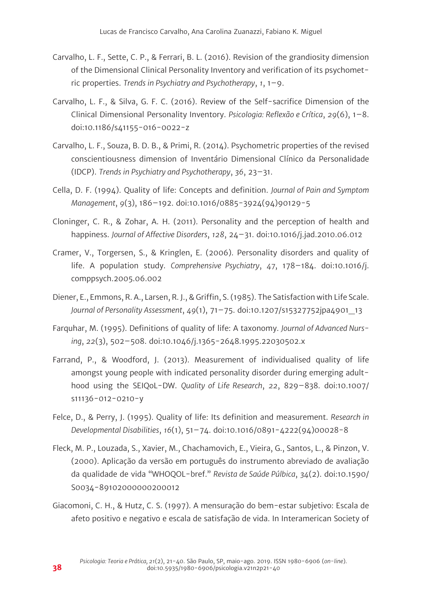- Carvalho, L. F., Sette, C. P., & Ferrari, B. L. (2016). Revision of the grandiosity dimension of the Dimensional Clinical Personality Inventory and verification of its psychometric properties. *Trends in Psychiatry and Psychotherapy*, *1*, 1–9.
- Carvalho, L. F., & Silva, G. F. C. (2016). Review of the Self-sacrifice Dimension of the Clinical Dimensional Personality Inventory. *Psicologia: Reflexão e Crítica*, *29*(6), 1–8. doi:10.1186/s41155-016-0022-z
- Carvalho, L. F., Souza, B. D. B., & Primi, R. (2014). Psychometric properties of the revised conscientiousness dimension of Inventário Dimensional Clínico da Personalidade (IDCP). *Trends in Psychiatry and Psychotherapy*, *36*, 23–31.
- Cella, D. F. (1994). Quality of life: Concepts and definition. *Journal of Pain and Symptom Management*, *9*(3), 186–192. doi:10.1016/0885-3924(94)90129-5
- Cloninger, C. R., & Zohar, A. H. (2011). Personality and the perception of health and happiness. *Journal of Affective Disorders*, *128*, 24–31. doi:10.1016/j.jad.2010.06.012
- Cramer, V., Torgersen, S., & Kringlen, E. (2006). Personality disorders and quality of life. A population study. *Comprehensive Psychiatry*, *47*, 178–184. doi:10.1016/j. comppsych.2005.06.002
- Diener, E., Emmons, R. A., Larsen, R. J., & Griffin, S. (1985). The Satisfaction with Life Scale. *Journal of Personality Assessment*, *49*(1), 71–75. doi:10.1207/s15327752jpa4901\_13
- Farquhar, M. (1995). Definitions of quality of life: A taxonomy. *Journal of Advanced Nursing*, *22*(3), 502–508. doi:10.1046/j.1365-2648.1995.22030502.x
- Farrand, P., & Woodford, J. (2013). Measurement of individualised quality of life amongst young people with indicated personality disorder during emerging adulthood using the SEIQoL-DW. *Quality of Life Research*, *22*, 829–838. doi:10.1007/ s11136-012-0210-y
- Felce, D., & Perry, J. (1995). Quality of life: Its definition and measurement. *Research in Developmental Disabilities*, *16*(1), 51–74. doi:10.1016/0891-4222(94)00028-8
- Fleck, M. P., Louzada, S., Xavier, M., Chachamovich, E., Vieira, G., Santos, L., & Pinzon, V. (2000). Aplicação da versão em português do instrumento abreviado de avaliação da qualidade de vida "WHOQOL-bref." *Revista de Saúde Púlbica*, *34*(2). doi:10.1590/ S0034-89102000000200012
- Giacomoni, C. H., & Hutz, C. S. (1997). A mensuração do bem-estar subjetivo: Escala de afeto positivo e negativo e escala de satisfação de vida. In Interamerican Society of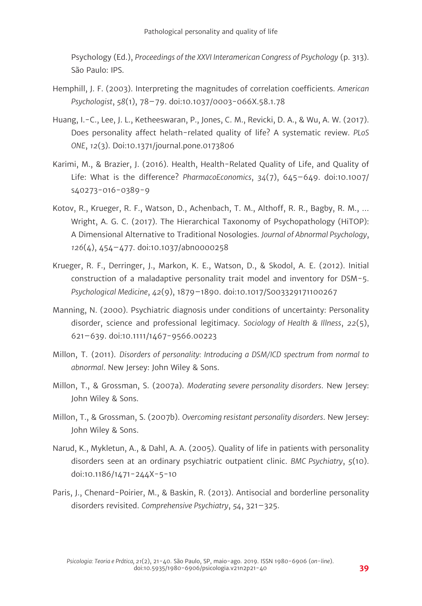Psychology (Ed.), *Proceedings of the XXVI Interamerican Congress of Psychology* (p. 313). São Paulo: IPS.

- Hemphill, J. F. (2003). Interpreting the magnitudes of correlation coefficients. *American Psychologist*, *58*(1), 78–79. doi:10.1037/0003-066X.58.1.78
- Huang, I.-C., Lee, J. L., Ketheeswaran, P., Jones, C. M., Revicki, D. A., & Wu, A. W. (2017). Does personality affect helath-related quality of life? A systematic review. *PLoS ONE*, *12*(3). Doi:10.1371/journal.pone.0173806
- Karimi, M., & Brazier, J. (2016). Health, Health-Related Quality of Life, and Quality of Life: What is the difference? *PharmacoEconomics*, *34*(7), 645–649. doi:10.1007/ s40273-016-0389-9
- Kotov, R., Krueger, R. F., Watson, D., Achenbach, T. M., Althoff, R. R., Bagby, R. M., … Wright, A. G. C. (2017). The Hierarchical Taxonomy of Psychopathology (HiTOP): A Dimensional Alternative to Traditional Nosologies. *Journal of Abnormal Psychology*, *126*(4), 454–477. doi:10.1037/abn0000258
- Krueger, R. F., Derringer, J., Markon, K. E., Watson, D., & Skodol, A. E. (2012). Initial construction of a maladaptive personality trait model and inventory for DSM-5. *Psychological Medicine*, *42*(9), 1879–1890. doi:10.1017/S003329171100267
- Manning, N. (2000). Psychiatric diagnosis under conditions of uncertainty: Personality disorder, science and professional legitimacy. *Sociology of Health & Illness*, *22*(5), 621–639. doi:10.1111/1467-9566.00223
- Millon, T. (2011). *Disorders of personality: Introducing a DSM/ICD spectrum from normal to abnormal*. New Jersey: John Wiley & Sons.
- Millon, T., & Grossman, S. (2007a). *Moderating severe personality disorders*. New Jersey: John Wiley & Sons.
- Millon, T., & Grossman, S. (2007b). *Overcoming resistant personality disorders*. New Jersey: John Wiley & Sons.
- Narud, K., Mykletun, A., & Dahl, A. A. (2005). Quality of life in patients with personality disorders seen at an ordinary psychiatric outpatient clinic. *BMC Psychiatry*, *5*(10). doi:10.1186/1471-244X-5-10
- Paris, J., Chenard-Poirier, M., & Baskin, R. (2013). Antisocial and borderline personality disorders revisited. *Comprehensive Psychiatry*, *54*, 321–325.